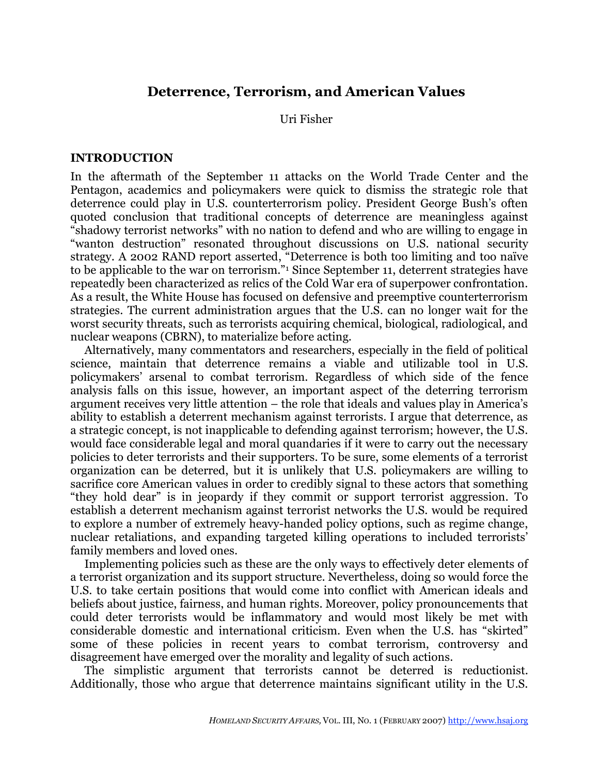# **Deterrence, Terrorism, and American Values**

## Uri Fisher

### **INTRODUCTION**

In the aftermath of the September 11 attacks on the World Trade Center and the Pentagon, academics and policymakers were quick to dismiss the strategic role that deterrence could play in U.S. counterterrorism policy. President George Bush's often quoted conclusion that traditional concepts of deterrence are meaningless against "shadowy terrorist networks" with no nation to defend and who are willing to engage in "wanton destruction" resonated throughout discussions on U.S. national security strategy. A 2002 RAND report asserted, "Deterrence is both too limiting and too naïve to be applicable to the war on terrorism."1 Since September 11, deterrent strategies have repeatedly been characterized as relics of the Cold War era of superpower confrontation. As a result, the White House has focused on defensive and preemptive counterterrorism strategies. The current administration argues that the U.S. can no longer wait for the worst security threats, such as terrorists acquiring chemical, biological, radiological, and nuclear weapons (CBRN), to materialize before acting.

Alternatively, many commentators and researchers, especially in the field of political science, maintain that deterrence remains a viable and utilizable tool in U.S. policymakers' arsenal to combat terrorism. Regardless of which side of the fence analysis falls on this issue, however, an important aspect of the deterring terrorism argument receives very little attention – the role that ideals and values play in America's ability to establish a deterrent mechanism against terrorists. I argue that deterrence, as a strategic concept, is not inapplicable to defending against terrorism; however, the U.S. would face considerable legal and moral quandaries if it were to carry out the necessary policies to deter terrorists and their supporters. To be sure, some elements of a terrorist organization can be deterred, but it is unlikely that U.S. policymakers are willing to sacrifice core American values in order to credibly signal to these actors that something "they hold dear" is in jeopardy if they commit or support terrorist aggression. To establish a deterrent mechanism against terrorist networks the U.S. would be required to explore a number of extremely heavy-handed policy options, such as regime change, nuclear retaliations, and expanding targeted killing operations to included terrorists' family members and loved ones.

Implementing policies such as these are the only ways to effectively deter elements of a terrorist organization and its support structure. Nevertheless, doing so would force the U.S. to take certain positions that would come into conflict with American ideals and beliefs about justice, fairness, and human rights. Moreover, policy pronouncements that could deter terrorists would be inflammatory and would most likely be met with considerable domestic and international criticism. Even when the U.S. has "skirted" some of these policies in recent years to combat terrorism, controversy and disagreement have emerged over the morality and legality of such actions.

The simplistic argument that terrorists cannot be deterred is reductionist. Additionally, those who argue that deterrence maintains significant utility in the U.S.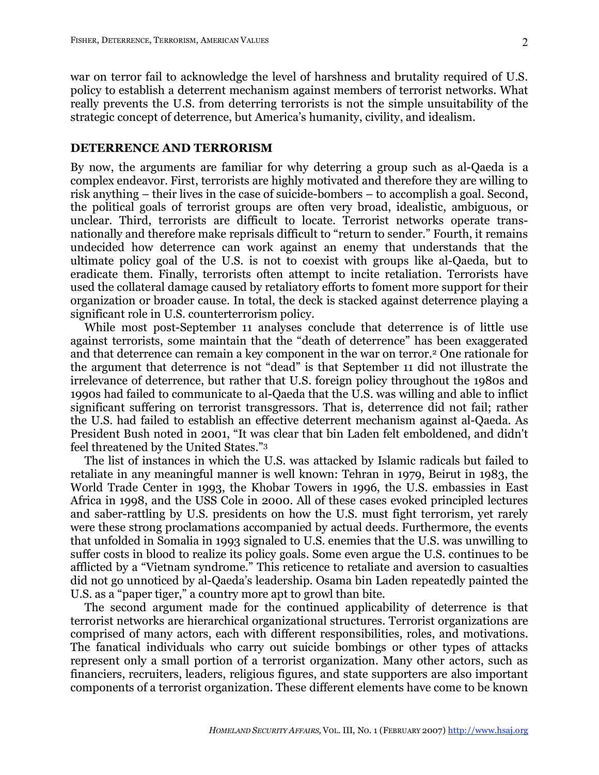war on terror fail to acknowledge the level of harshness and brutality required of U.S. policy to establish a deterrent mechanism against members of terrorist networks. What really prevents the U.S. from deterring terrorists is not the simple unsuitability of the strategic concept of deterrence, but America's humanity, civility, and idealism.

#### **DETERRENCE AND TERRORISM**

By now, the arguments are familiar for why deterring a group such as al-Qaeda is a complex endeavor. First, terrorists are highly motivated and therefore they are willing to risk anything – their lives in the case of suicide-bombers – to accomplish a goal. Second, the political goals of terrorist groups are often very broad, idealistic, ambiguous, or unclear. Third, terrorists are difficult to locate. Terrorist networks operate transnationally and therefore make reprisals difficult to "return to sender." Fourth, it remains undecided how deterrence can work against an enemy that understands that the ultimate policy goal of the U.S. is not to coexist with groups like al-Qaeda, but to eradicate them. Finally, terrorists often attempt to incite retaliation. Terrorists have used the collateral damage caused by retaliatory efforts to foment more support for their organization or broader cause. In total, the deck is stacked against deterrence playing a significant role in U.S. counterterrorism policy.

While most post-September 11 analyses conclude that deterrence is of little use against terrorists, some maintain that the "death of deterrence" has been exaggerated and that deterrence can remain a key component in the war on terror.2 One rationale for the argument that deterrence is not "dead" is that September 11 did not illustrate the irrelevance of deterrence, but rather that U.S. foreign policy throughout the 1980s and 1990s had failed to communicate to al-Qaeda that the U.S. was willing and able to inflict significant suffering on terrorist transgressors. That is, deterrence did not fail; rather the U.S. had failed to establish an effective deterrent mechanism against al-Qaeda. As President Bush noted in 2001, "It was clear that bin Laden felt emboldened, and didn't feel threatened by the United States."3

The list of instances in which the U.S. was attacked by Islamic radicals but failed to retaliate in any meaningful manner is well known: Tehran in 1979, Beirut in 1983, the World Trade Center in 1993, the Khobar Towers in 1996, the U.S. embassies in East Africa in 1998, and the USS Cole in 2000. All of these cases evoked principled lectures and saber-rattling by U.S. presidents on how the U.S. must fight terrorism, yet rarely were these strong proclamations accompanied by actual deeds. Furthermore, the events that unfolded in Somalia in 1993 signaled to U.S. enemies that the U.S. was unwilling to suffer costs in blood to realize its policy goals. Some even argue the U.S. continues to be afflicted by a "Vietnam syndrome." This reticence to retaliate and aversion to casualties did not go unnoticed by al-Qaeda's leadership. Osama bin Laden repeatedly painted the U.S. as a "paper tiger," a country more apt to growl than bite.

The second argument made for the continued applicability of deterrence is that terrorist networks are hierarchical organizational structures. Terrorist organizations are comprised of many actors, each with different responsibilities, roles, and motivations. The fanatical individuals who carry out suicide bombings or other types of attacks represent only a small portion of a terrorist organization. Many other actors, such as financiers, recruiters, leaders, religious figures, and state supporters are also important components of a terrorist organization. These different elements have come to be known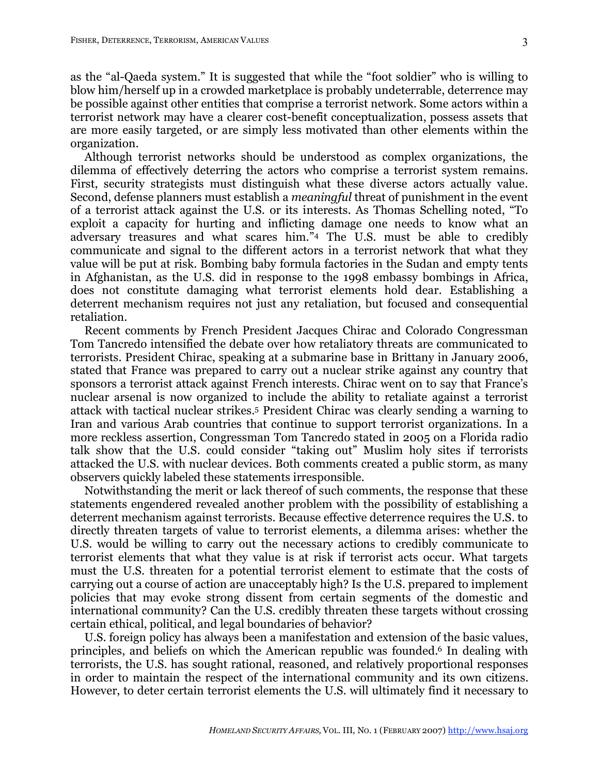as the "al-Qaeda system." It is suggested that while the "foot soldier" who is willing to blow him/herself up in a crowded marketplace is probably undeterrable, deterrence may be possible against other entities that comprise a terrorist network. Some actors within a terrorist network may have a clearer cost-benefit conceptualization, possess assets that are more easily targeted, or are simply less motivated than other elements within the organization.

Although terrorist networks should be understood as complex organizations, the dilemma of effectively deterring the actors who comprise a terrorist system remains. First, security strategists must distinguish what these diverse actors actually value. Second, defense planners must establish a *meaningful* threat of punishment in the event of a terrorist attack against the U.S. or its interests. As Thomas Schelling noted, "To exploit a capacity for hurting and inflicting damage one needs to know what an adversary treasures and what scares him."4 The U.S. must be able to credibly communicate and signal to the different actors in a terrorist network that what they value will be put at risk. Bombing baby formula factories in the Sudan and empty tents in Afghanistan, as the U.S. did in response to the 1998 embassy bombings in Africa, does not constitute damaging what terrorist elements hold dear. Establishing a deterrent mechanism requires not just any retaliation, but focused and consequential retaliation.

Recent comments by French President Jacques Chirac and Colorado Congressman Tom Tancredo intensified the debate over how retaliatory threats are communicated to terrorists. President Chirac, speaking at a submarine base in Brittany in January 2006, stated that France was prepared to carry out a nuclear strike against any country that sponsors a terrorist attack against French interests. Chirac went on to say that France's nuclear arsenal is now organized to include the ability to retaliate against a terrorist attack with tactical nuclear strikes. <sup>5</sup> President Chirac was clearly sending a warning to Iran and various Arab countries that continue to support terrorist organizations. In a more reckless assertion, Congressman Tom Tancredo stated in 2005 on a Florida radio talk show that the U.S. could consider "taking out" Muslim holy sites if terrorists attacked the U.S. with nuclear devices. Both comments created a public storm, as many observers quickly labeled these statements irresponsible.

Notwithstanding the merit or lack thereof of such comments, the response that these statements engendered revealed another problem with the possibility of establishing a deterrent mechanism against terrorists. Because effective deterrence requires the U.S. to directly threaten targets of value to terrorist elements, a dilemma arises: whether the U.S. would be willing to carry out the necessary actions to credibly communicate to terrorist elements that what they value is at risk if terrorist acts occur. What targets must the U.S. threaten for a potential terrorist element to estimate that the costs of carrying out a course of action are unacceptably high? Is the U.S. prepared to implement policies that may evoke strong dissent from certain segments of the domestic and international community? Can the U.S. credibly threaten these targets without crossing certain ethical, political, and legal boundaries of behavior?

U.S. foreign policy has always been a manifestation and extension of the basic values, principles, and beliefs on which the American republic was founded. <sup>6</sup> In dealing with terrorists, the U.S. has sought rational, reasoned, and relatively proportional responses in order to maintain the respect of the international community and its own citizens. However, to deter certain terrorist elements the U.S. will ultimately find it necessary to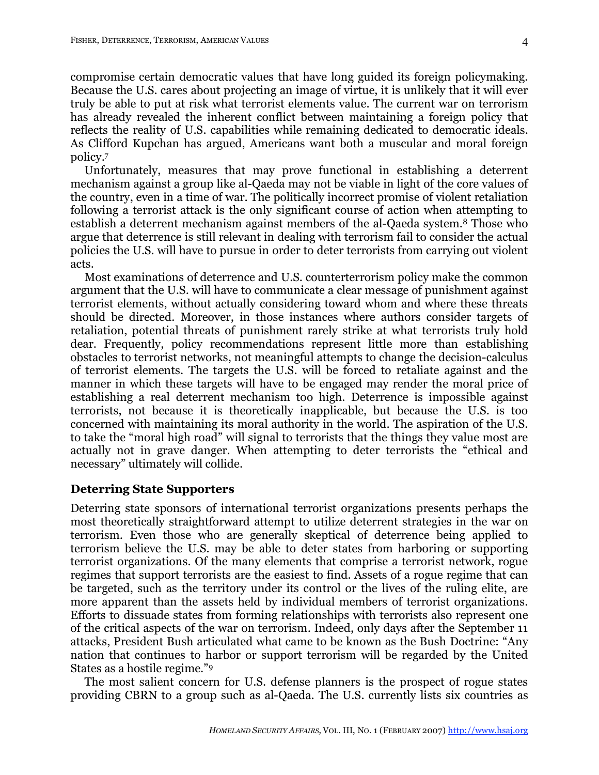compromise certain democratic values that have long guided its foreign policymaking. Because the U.S. cares about projecting an image of virtue, it is unlikely that it will ever truly be able to put at risk what terrorist elements value. The current war on terrorism has already revealed the inherent conflict between maintaining a foreign policy that reflects the reality of U.S. capabilities while remaining dedicated to democratic ideals. As Clifford Kupchan has argued, Americans want both a muscular and moral foreign policy. 7

Unfortunately, measures that may prove functional in establishing a deterrent mechanism against a group like al-Qaeda may not be viable in light of the core values of the country, even in a time of war. The politically incorrect promise of violent retaliation following a terrorist attack is the only significant course of action when attempting to establish a deterrent mechanism against members of the al-Qaeda system.8 Those who argue that deterrence is still relevant in dealing with terrorism fail to consider the actual policies the U.S. will have to pursue in order to deter terrorists from carrying out violent acts.

Most examinations of deterrence and U.S. counterterrorism policy make the common argument that the U.S. will have to communicate a clear message of punishment against terrorist elements, without actually considering toward whom and where these threats should be directed. Moreover, in those instances where authors consider targets of retaliation, potential threats of punishment rarely strike at what terrorists truly hold dear. Frequently, policy recommendations represent little more than establishing obstacles to terrorist networks, not meaningful attempts to change the decision-calculus of terrorist elements. The targets the U.S. will be forced to retaliate against and the manner in which these targets will have to be engaged may render the moral price of establishing a real deterrent mechanism too high. Deterrence is impossible against terrorists, not because it is theoretically inapplicable, but because the U.S. is too concerned with maintaining its moral authority in the world. The aspiration of the U.S. to take the "moral high road" will signal to terrorists that the things they value most are actually not in grave danger. When attempting to deter terrorists the "ethical and necessary" ultimately will collide.

#### **Deterring State Supporters**

Deterring state sponsors of international terrorist organizations presents perhaps the most theoretically straightforward attempt to utilize deterrent strategies in the war on terrorism. Even those who are generally skeptical of deterrence being applied to terrorism believe the U.S. may be able to deter states from harboring or supporting terrorist organizations. Of the many elements that comprise a terrorist network, rogue regimes that support terrorists are the easiest to find. Assets of a rogue regime that can be targeted, such as the territory under its control or the lives of the ruling elite, are more apparent than the assets held by individual members of terrorist organizations. Efforts to dissuade states from forming relationships with terrorists also represent one of the critical aspects of the war on terrorism. Indeed, only days after the September 11 attacks, President Bush articulated what came to be known as the Bush Doctrine: "Any nation that continues to harbor or support terrorism will be regarded by the United States as a hostile regime."9

The most salient concern for U.S. defense planners is the prospect of rogue states providing CBRN to a group such as al-Qaeda. The U.S. currently lists six countries as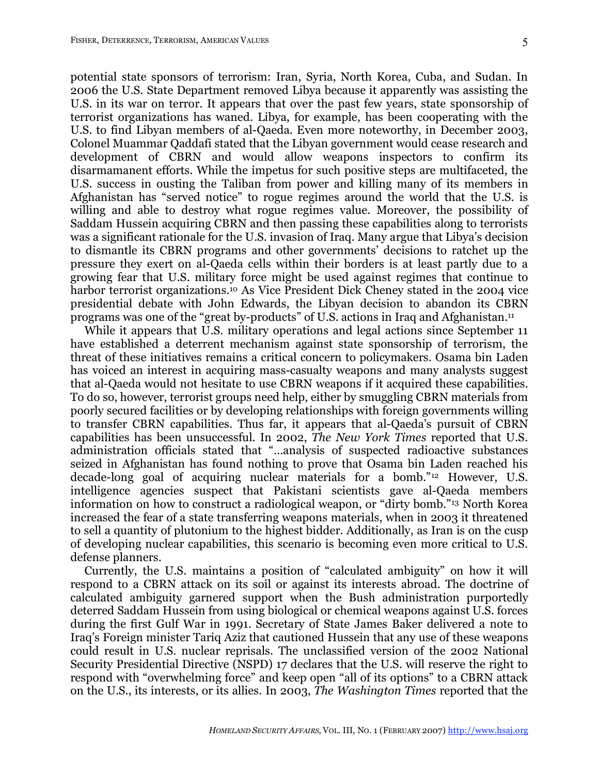potential state sponsors of terrorism: Iran, Syria, North Korea, Cuba, and Sudan. In 2006 the U.S. State Department removed Libya because it apparently was assisting the U.S. in its war on terror. It appears that over the past few years, state sponsorship of terrorist organizations has waned. Libya, for example, has been cooperating with the U.S. to find Libyan members of al-Qaeda. Even more noteworthy, in December 2003, Colonel Muammar Qaddafi stated that the Libyan government would cease research and development of CBRN and would allow weapons inspectors to confirm its disarmamanent efforts. While the impetus for such positive steps are multifaceted, the U.S. success in ousting the Taliban from power and killing many of its members in Afghanistan has "served notice" to rogue regimes around the world that the U.S. is willing and able to destroy what rogue regimes value. Moreover, the possibility of Saddam Hussein acquiring CBRN and then passing these capabilities along to terrorists was a significant rationale for the U.S. invasion of Iraq. Many argue that Libya's decision to dismantle its CBRN programs and other governments' decisions to ratchet up the pressure they exert on al-Qaeda cells within their borders is at least partly due to a growing fear that U.S. military force might be used against regimes that continue to harbor terrorist organizations.<sup>10</sup> As Vice President Dick Cheney stated in the 2004 vice presidential debate with John Edwards, the Libyan decision to abandon its CBRN programs was one of the "great by-products" of U.S. actions in Iraq and Afghanistan.11

While it appears that U.S. military operations and legal actions since September 11 have established a deterrent mechanism against state sponsorship of terrorism, the threat of these initiatives remains a critical concern to policymakers. Osama bin Laden has voiced an interest in acquiring mass-casualty weapons and many analysts suggest that al-Qaeda would not hesitate to use CBRN weapons if it acquired these capabilities. To do so, however, terrorist groups need help, either by smuggling CBRN materials from poorly secured facilities or by developing relationships with foreign governments willing to transfer CBRN capabilities. Thus far, it appears that al-Qaeda's pursuit of CBRN capabilities has been unsuccessful. In 2002, *The New York Times* reported that U.S. administration officials stated that "…analysis of suspected radioactive substances seized in Afghanistan has found nothing to prove that Osama bin Laden reached his decade-long goal of acquiring nuclear materials for a bomb."12 However, U.S. intelligence agencies suspect that Pakistani scientists gave al-Qaeda members information on how to construct a radiological weapon, or "dirty bomb."13 North Korea increased the fear of a state transferring weapons materials, when in 2003 it threatened to sell a quantity of plutonium to the highest bidder. Additionally, as Iran is on the cusp of developing nuclear capabilities, this scenario is becoming even more critical to U.S. defense planners.

Currently, the U.S. maintains a position of "calculated ambiguity" on how it will respond to a CBRN attack on its soil or against its interests abroad. The doctrine of calculated ambiguity garnered support when the Bush administration purportedly deterred Saddam Hussein from using biological or chemical weapons against U.S. forces during the first Gulf War in 1991. Secretary of State James Baker delivered a note to Iraq's Foreign minister Tariq Aziz that cautioned Hussein that any use of these weapons could result in U.S. nuclear reprisals. The unclassified version of the 2002 National Security Presidential Directive (NSPD) 17 declares that the U.S. will reserve the right to respond with "overwhelming force" and keep open "all of its options" to a CBRN attack on the U.S., its interests, or its allies. In 2003, *The Washington Times* reported that the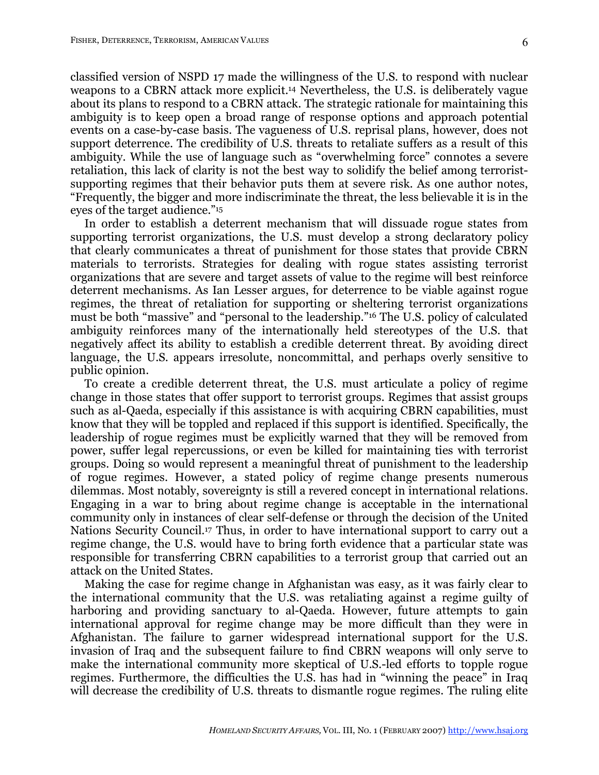classified version of NSPD 17 made the willingness of the U.S. to respond with nuclear weapons to a CBRN attack more explicit.14 Nevertheless, the U.S. is deliberately vague about its plans to respond to a CBRN attack. The strategic rationale for maintaining this ambiguity is to keep open a broad range of response options and approach potential events on a case-by-case basis. The vagueness of U.S. reprisal plans, however, does not support deterrence. The credibility of U.S. threats to retaliate suffers as a result of this ambiguity. While the use of language such as "overwhelming force" connotes a severe retaliation, this lack of clarity is not the best way to solidify the belief among terroristsupporting regimes that their behavior puts them at severe risk. As one author notes, "Frequently, the bigger and more indiscriminate the threat, the less believable it is in the eyes of the target audience."15

In order to establish a deterrent mechanism that will dissuade rogue states from supporting terrorist organizations, the U.S. must develop a strong declaratory policy that clearly communicates a threat of punishment for those states that provide CBRN materials to terrorists. Strategies for dealing with rogue states assisting terrorist organizations that are severe and target assets of value to the regime will best reinforce deterrent mechanisms. As Ian Lesser argues, for deterrence to be viable against rogue regimes, the threat of retaliation for supporting or sheltering terrorist organizations must be both "massive" and "personal to the leadership."16 The U.S. policy of calculated ambiguity reinforces many of the internationally held stereotypes of the U.S. that negatively affect its ability to establish a credible deterrent threat. By avoiding direct language, the U.S. appears irresolute, noncommittal, and perhaps overly sensitive to public opinion.

To create a credible deterrent threat, the U.S. must articulate a policy of regime change in those states that offer support to terrorist groups. Regimes that assist groups such as al-Qaeda, especially if this assistance is with acquiring CBRN capabilities, must know that they will be toppled and replaced if this support is identified. Specifically, the leadership of rogue regimes must be explicitly warned that they will be removed from power, suffer legal repercussions, or even be killed for maintaining ties with terrorist groups. Doing so would represent a meaningful threat of punishment to the leadership of rogue regimes. However, a stated policy of regime change presents numerous dilemmas. Most notably, sovereignty is still a revered concept in international relations. Engaging in a war to bring about regime change is acceptable in the international community only in instances of clear self-defense or through the decision of the United Nations Security Council.17 Thus, in order to have international support to carry out a regime change, the U.S. would have to bring forth evidence that a particular state was responsible for transferring CBRN capabilities to a terrorist group that carried out an attack on the United States.

Making the case for regime change in Afghanistan was easy, as it was fairly clear to the international community that the U.S. was retaliating against a regime guilty of harboring and providing sanctuary to al-Qaeda. However, future attempts to gain international approval for regime change may be more difficult than they were in Afghanistan. The failure to garner widespread international support for the U.S. invasion of Iraq and the subsequent failure to find CBRN weapons will only serve to make the international community more skeptical of U.S.-led efforts to topple rogue regimes. Furthermore, the difficulties the U.S. has had in "winning the peace" in Iraq will decrease the credibility of U.S. threats to dismantle rogue regimes. The ruling elite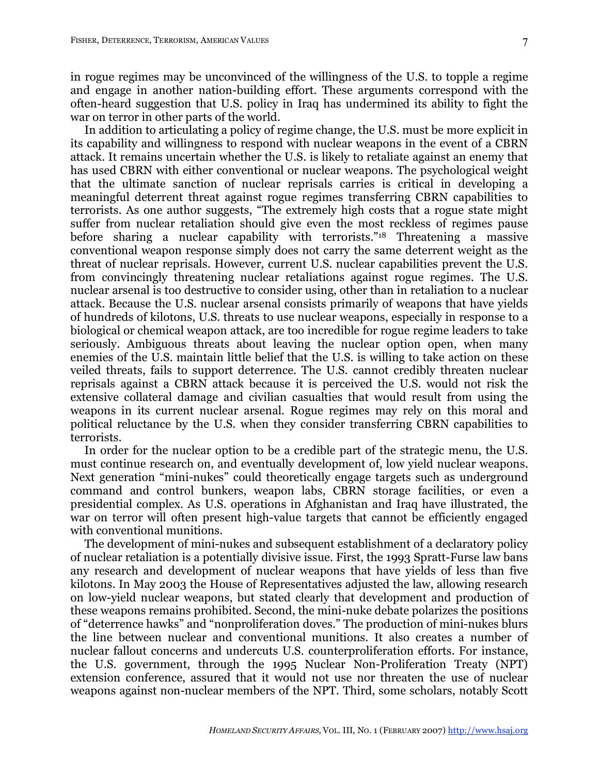in rogue regimes may be unconvinced of the willingness of the U.S. to topple a regime and engage in another nation-building effort. These arguments correspond with the often-heard suggestion that U.S. policy in Iraq has undermined its ability to fight the war on terror in other parts of the world.

In addition to articulating a policy of regime change, the U.S. must be more explicit in its capability and willingness to respond with nuclear weapons in the event of a CBRN attack. It remains uncertain whether the U.S. is likely to retaliate against an enemy that has used CBRN with either conventional or nuclear weapons. The psychological weight that the ultimate sanction of nuclear reprisals carries is critical in developing a meaningful deterrent threat against rogue regimes transferring CBRN capabilities to terrorists. As one author suggests, "The extremely high costs that a rogue state might suffer from nuclear retaliation should give even the most reckless of regimes pause before sharing a nuclear capability with terrorists."<sup>18</sup> Threatening a massive conventional weapon response simply does not carry the same deterrent weight as the threat of nuclear reprisals. However, current U.S. nuclear capabilities prevent the U.S. from convincingly threatening nuclear retaliations against rogue regimes. The U.S. nuclear arsenal is too destructive to consider using, other than in retaliation to a nuclear attack. Because the U.S. nuclear arsenal consists primarily of weapons that have yields of hundreds of kilotons, U.S. threats to use nuclear weapons, especially in response to a biological or chemical weapon attack, are too incredible for rogue regime leaders to take seriously. Ambiguous threats about leaving the nuclear option open, when many enemies of the U.S. maintain little belief that the U.S. is willing to take action on these veiled threats, fails to support deterrence. The U.S. cannot credibly threaten nuclear reprisals against a CBRN attack because it is perceived the U.S. would not risk the extensive collateral damage and civilian casualties that would result from using the weapons in its current nuclear arsenal. Rogue regimes may rely on this moral and political reluctance by the U.S. when they consider transferring CBRN capabilities to terrorists.

In order for the nuclear option to be a credible part of the strategic menu, the U.S. must continue research on, and eventually development of, low yield nuclear weapons. Next generation "mini-nukes" could theoretically engage targets such as underground command and control bunkers, weapon labs, CBRN storage facilities, or even a presidential complex. As U.S. operations in Afghanistan and Iraq have illustrated, the war on terror will often present high-value targets that cannot be efficiently engaged with conventional munitions.

The development of mini-nukes and subsequent establishment of a declaratory policy of nuclear retaliation is a potentially divisive issue. First, the 1993 Spratt-Furse law bans any research and development of nuclear weapons that have yields of less than five kilotons. In May 2003 the House of Representatives adjusted the law, allowing research on low-yield nuclear weapons, but stated clearly that development and production of these weapons remains prohibited. Second, the mini-nuke debate polarizes the positions of "deterrence hawks" and "nonproliferation doves." The production of mini-nukes blurs the line between nuclear and conventional munitions. It also creates a number of nuclear fallout concerns and undercuts U.S. counterproliferation efforts. For instance, the U.S. government, through the 1995 Nuclear Non-Proliferation Treaty (NPT) extension conference, assured that it would not use nor threaten the use of nuclear weapons against non-nuclear members of the NPT. Third, some scholars, notably Scott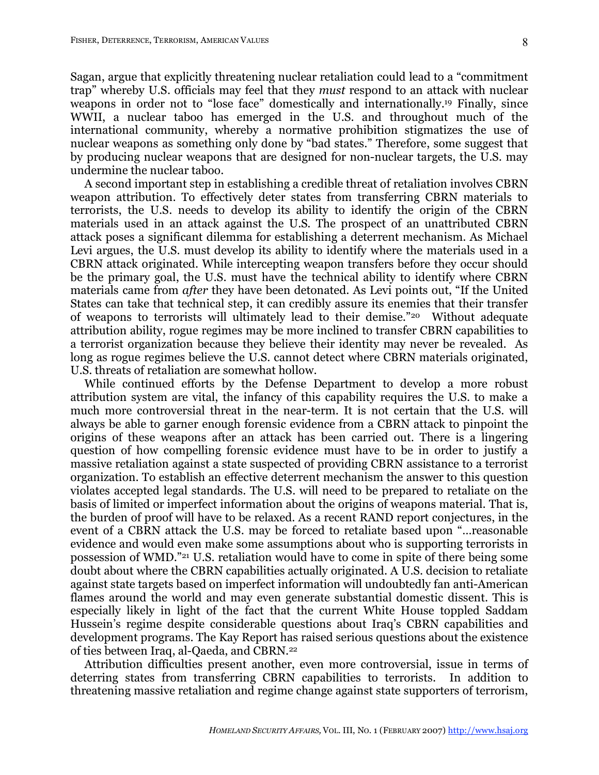Sagan, argue that explicitly threatening nuclear retaliation could lead to a "commitment trap" whereby U.S. officials may feel that they *must* respond to an attack with nuclear weapons in order not to "lose face" domestically and internationally. <sup>19</sup> Finally, since WWII, a nuclear taboo has emerged in the U.S. and throughout much of the international community, whereby a normative prohibition stigmatizes the use of nuclear weapons as something only done by "bad states." Therefore, some suggest that by producing nuclear weapons that are designed for non-nuclear targets, the U.S. may undermine the nuclear taboo.

A second important step in establishing a credible threat of retaliation involves CBRN weapon attribution. To effectively deter states from transferring CBRN materials to terrorists, the U.S. needs to develop its ability to identify the origin of the CBRN materials used in an attack against the U.S. The prospect of an unattributed CBRN attack poses a significant dilemma for establishing a deterrent mechanism. As Michael Levi argues, the U.S. must develop its ability to identify where the materials used in a CBRN attack originated. While intercepting weapon transfers before they occur should be the primary goal, the U.S. must have the technical ability to identify where CBRN materials came from *after* they have been detonated. As Levi points out, "If the United States can take that technical step, it can credibly assure its enemies that their transfer of weapons to terrorists will ultimately lead to their demise."20 Without adequate attribution ability, rogue regimes may be more inclined to transfer CBRN capabilities to a terrorist organization because they believe their identity may never be revealed. As long as rogue regimes believe the U.S. cannot detect where CBRN materials originated, U.S. threats of retaliation are somewhat hollow.

While continued efforts by the Defense Department to develop a more robust attribution system are vital, the infancy of this capability requires the U.S. to make a much more controversial threat in the near-term. It is not certain that the U.S. will always be able to garner enough forensic evidence from a CBRN attack to pinpoint the origins of these weapons after an attack has been carried out. There is a lingering question of how compelling forensic evidence must have to be in order to justify a massive retaliation against a state suspected of providing CBRN assistance to a terrorist organization. To establish an effective deterrent mechanism the answer to this question violates accepted legal standards. The U.S. will need to be prepared to retaliate on the basis of limited or imperfect information about the origins of weapons material. That is, the burden of proof will have to be relaxed. As a recent RAND report conjectures, in the event of a CBRN attack the U.S. may be forced to retaliate based upon "…reasonable evidence and would even make some assumptions about who is supporting terrorists in possession of WMD."21 U.S. retaliation would have to come in spite of there being some doubt about where the CBRN capabilities actually originated. A U.S. decision to retaliate against state targets based on imperfect information will undoubtedly fan anti-American flames around the world and may even generate substantial domestic dissent. This is especially likely in light of the fact that the current White House toppled Saddam Hussein's regime despite considerable questions about Iraq's CBRN capabilities and development programs. The Kay Report has raised serious questions about the existence of ties between Iraq, al-Qaeda, and CBRN.22

Attribution difficulties present another, even more controversial, issue in terms of deterring states from transferring CBRN capabilities to terrorists. In addition to threatening massive retaliation and regime change against state supporters of terrorism,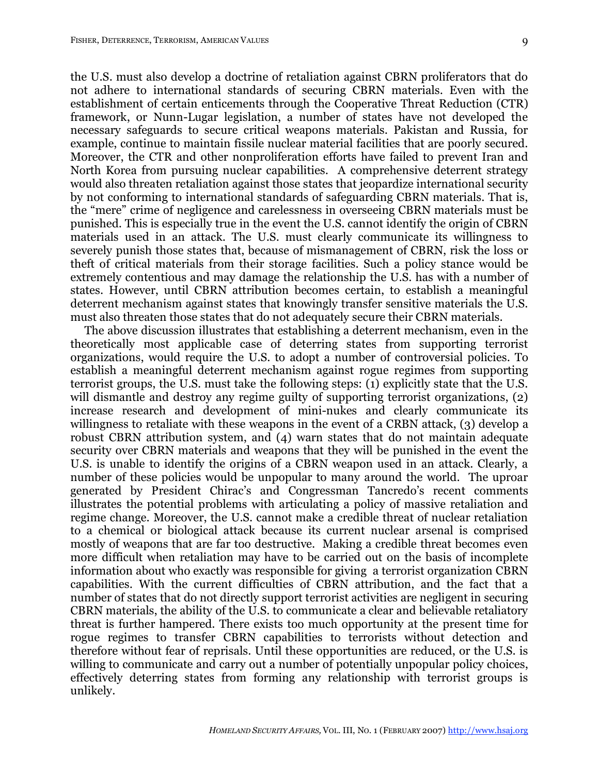the U.S. must also develop a doctrine of retaliation against CBRN proliferators that do not adhere to international standards of securing CBRN materials. Even with the establishment of certain enticements through the Cooperative Threat Reduction (CTR) framework, or Nunn-Lugar legislation, a number of states have not developed the necessary safeguards to secure critical weapons materials. Pakistan and Russia, for example, continue to maintain fissile nuclear material facilities that are poorly secured. Moreover, the CTR and other nonproliferation efforts have failed to prevent Iran and North Korea from pursuing nuclear capabilities. A comprehensive deterrent strategy would also threaten retaliation against those states that jeopardize international security by not conforming to international standards of safeguarding CBRN materials. That is, the "mere" crime of negligence and carelessness in overseeing CBRN materials must be punished. This is especially true in the event the U.S. cannot identify the origin of CBRN materials used in an attack. The U.S. must clearly communicate its willingness to severely punish those states that, because of mismanagement of CBRN, risk the loss or theft of critical materials from their storage facilities. Such a policy stance would be extremely contentious and may damage the relationship the U.S. has with a number of states. However, until CBRN attribution becomes certain, to establish a meaningful deterrent mechanism against states that knowingly transfer sensitive materials the U.S. must also threaten those states that do not adequately secure their CBRN materials.

The above discussion illustrates that establishing a deterrent mechanism, even in the theoretically most applicable case of deterring states from supporting terrorist organizations, would require the U.S. to adopt a number of controversial policies. To establish a meaningful deterrent mechanism against rogue regimes from supporting terrorist groups, the U.S. must take the following steps: (1) explicitly state that the U.S. will dismantle and destroy any regime guilty of supporting terrorist organizations, (2) increase research and development of mini-nukes and clearly communicate its willingness to retaliate with these weapons in the event of a CRBN attack, (3) develop a robust CBRN attribution system, and (4) warn states that do not maintain adequate security over CBRN materials and weapons that they will be punished in the event the U.S. is unable to identify the origins of a CBRN weapon used in an attack. Clearly, a number of these policies would be unpopular to many around the world. The uproar generated by President Chirac's and Congressman Tancredo's recent comments illustrates the potential problems with articulating a policy of massive retaliation and regime change. Moreover, the U.S. cannot make a credible threat of nuclear retaliation to a chemical or biological attack because its current nuclear arsenal is comprised mostly of weapons that are far too destructive. Making a credible threat becomes even more difficult when retaliation may have to be carried out on the basis of incomplete information about who exactly was responsible for giving a terrorist organization CBRN capabilities. With the current difficulties of CBRN attribution, and the fact that a number of states that do not directly support terrorist activities are negligent in securing CBRN materials, the ability of the U.S. to communicate a clear and believable retaliatory threat is further hampered. There exists too much opportunity at the present time for rogue regimes to transfer CBRN capabilities to terrorists without detection and therefore without fear of reprisals. Until these opportunities are reduced, or the U.S. is willing to communicate and carry out a number of potentially unpopular policy choices, effectively deterring states from forming any relationship with terrorist groups is unlikely.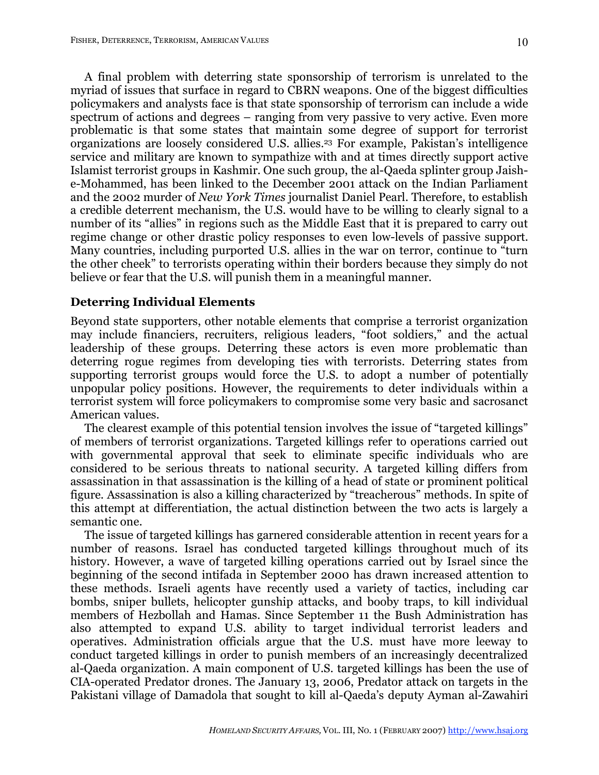A final problem with deterring state sponsorship of terrorism is unrelated to the myriad of issues that surface in regard to CBRN weapons. One of the biggest difficulties policymakers and analysts face is that state sponsorship of terrorism can include a wide spectrum of actions and degrees – ranging from very passive to very active. Even more problematic is that some states that maintain some degree of support for terrorist organizations are loosely considered U.S. allies.23 For example, Pakistan's intelligence service and military are known to sympathize with and at times directly support active Islamist terrorist groups in Kashmir. One such group, the al-Qaeda splinter group Jaishe-Mohammed, has been linked to the December 2001 attack on the Indian Parliament and the 2002 murder of *New York Times* journalist Daniel Pearl. Therefore, to establish a credible deterrent mechanism, the U.S. would have to be willing to clearly signal to a number of its "allies" in regions such as the Middle East that it is prepared to carry out regime change or other drastic policy responses to even low-levels of passive support. Many countries, including purported U.S. allies in the war on terror, continue to "turn the other cheek" to terrorists operating within their borders because they simply do not believe or fear that the U.S. will punish them in a meaningful manner.

#### **Deterring Individual Elements**

Beyond state supporters, other notable elements that comprise a terrorist organization may include financiers, recruiters, religious leaders, "foot soldiers," and the actual leadership of these groups. Deterring these actors is even more problematic than deterring rogue regimes from developing ties with terrorists. Deterring states from supporting terrorist groups would force the U.S. to adopt a number of potentially unpopular policy positions. However, the requirements to deter individuals within a terrorist system will force policymakers to compromise some very basic and sacrosanct American values.

The clearest example of this potential tension involves the issue of "targeted killings" of members of terrorist organizations. Targeted killings refer to operations carried out with governmental approval that seek to eliminate specific individuals who are considered to be serious threats to national security. A targeted killing differs from assassination in that assassination is the killing of a head of state or prominent political figure. Assassination is also a killing characterized by "treacherous" methods. In spite of this attempt at differentiation, the actual distinction between the two acts is largely a semantic one.

The issue of targeted killings has garnered considerable attention in recent years for a number of reasons. Israel has conducted targeted killings throughout much of its history. However, a wave of targeted killing operations carried out by Israel since the beginning of the second intifada in September 2000 has drawn increased attention to these methods. Israeli agents have recently used a variety of tactics, including car bombs, sniper bullets, helicopter gunship attacks, and booby traps, to kill individual members of Hezbollah and Hamas. Since September 11 the Bush Administration has also attempted to expand U.S. ability to target individual terrorist leaders and operatives. Administration officials argue that the U.S. must have more leeway to conduct targeted killings in order to punish members of an increasingly decentralized al-Qaeda organization. A main component of U.S. targeted killings has been the use of CIA-operated Predator drones. The January 13, 2006, Predator attack on targets in the Pakistani village of Damadola that sought to kill al-Qaeda's deputy Ayman al-Zawahiri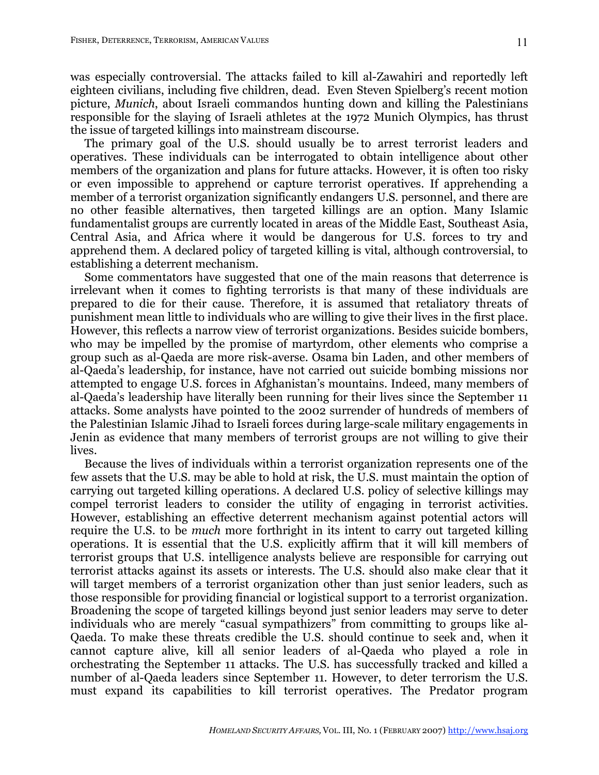was especially controversial. The attacks failed to kill al-Zawahiri and reportedly left eighteen civilians, including five children, dead. Even Steven Spielberg's recent motion picture, *Munich*, about Israeli commandos hunting down and killing the Palestinians responsible for the slaying of Israeli athletes at the 1972 Munich Olympics, has thrust the issue of targeted killings into mainstream discourse.

The primary goal of the U.S. should usually be to arrest terrorist leaders and operatives. These individuals can be interrogated to obtain intelligence about other members of the organization and plans for future attacks. However, it is often too risky or even impossible to apprehend or capture terrorist operatives. If apprehending a member of a terrorist organization significantly endangers U.S. personnel, and there are no other feasible alternatives, then targeted killings are an option. Many Islamic fundamentalist groups are currently located in areas of the Middle East, Southeast Asia, Central Asia, and Africa where it would be dangerous for U.S. forces to try and apprehend them. A declared policy of targeted killing is vital, although controversial, to establishing a deterrent mechanism.

Some commentators have suggested that one of the main reasons that deterrence is irrelevant when it comes to fighting terrorists is that many of these individuals are prepared to die for their cause. Therefore, it is assumed that retaliatory threats of punishment mean little to individuals who are willing to give their lives in the first place. However, this reflects a narrow view of terrorist organizations. Besides suicide bombers, who may be impelled by the promise of martyrdom, other elements who comprise a group such as al-Qaeda are more risk-averse. Osama bin Laden, and other members of al-Qaeda's leadership, for instance, have not carried out suicide bombing missions nor attempted to engage U.S. forces in Afghanistan's mountains. Indeed, many members of al-Qaeda's leadership have literally been running for their lives since the September 11 attacks. Some analysts have pointed to the 2002 surrender of hundreds of members of the Palestinian Islamic Jihad to Israeli forces during large-scale military engagements in Jenin as evidence that many members of terrorist groups are not willing to give their lives.

Because the lives of individuals within a terrorist organization represents one of the few assets that the U.S. may be able to hold at risk, the U.S. must maintain the option of carrying out targeted killing operations. A declared U.S. policy of selective killings may compel terrorist leaders to consider the utility of engaging in terrorist activities. However, establishing an effective deterrent mechanism against potential actors will require the U.S. to be *much* more forthright in its intent to carry out targeted killing operations. It is essential that the U.S. explicitly affirm that it will kill members of terrorist groups that U.S. intelligence analysts believe are responsible for carrying out terrorist attacks against its assets or interests. The U.S. should also make clear that it will target members of a terrorist organization other than just senior leaders, such as those responsible for providing financial or logistical support to a terrorist organization. Broadening the scope of targeted killings beyond just senior leaders may serve to deter individuals who are merely "casual sympathizers" from committing to groups like al-Qaeda. To make these threats credible the U.S. should continue to seek and, when it cannot capture alive, kill all senior leaders of al-Qaeda who played a role in orchestrating the September 11 attacks. The U.S. has successfully tracked and killed a number of al-Qaeda leaders since September 11. However, to deter terrorism the U.S. must expand its capabilities to kill terrorist operatives. The Predator program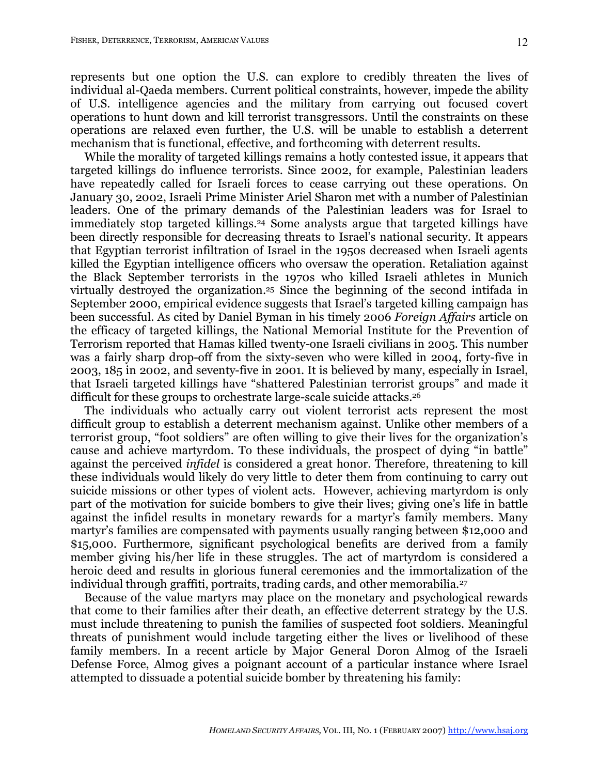represents but one option the U.S. can explore to credibly threaten the lives of individual al-Qaeda members. Current political constraints, however, impede the ability of U.S. intelligence agencies and the military from carrying out focused covert operations to hunt down and kill terrorist transgressors. Until the constraints on these operations are relaxed even further, the U.S. will be unable to establish a deterrent mechanism that is functional, effective, and forthcoming with deterrent results.

While the morality of targeted killings remains a hotly contested issue, it appears that targeted killings do influence terrorists. Since 2002, for example, Palestinian leaders have repeatedly called for Israeli forces to cease carrying out these operations. On January 30, 2002, Israeli Prime Minister Ariel Sharon met with a number of Palestinian leaders. One of the primary demands of the Palestinian leaders was for Israel to immediately stop targeted killings. <sup>24</sup> Some analysts argue that targeted killings have been directly responsible for decreasing threats to Israel's national security. It appears that Egyptian terrorist infiltration of Israel in the 1950s decreased when Israeli agents killed the Egyptian intelligence officers who oversaw the operation. Retaliation against the Black September terrorists in the 1970s who killed Israeli athletes in Munich virtually destroyed the organization. <sup>25</sup> Since the beginning of the second intifada in September 2000, empirical evidence suggests that Israel's targeted killing campaign has been successful. As cited by Daniel Byman in his timely 2006 *Foreign Affairs* article on the efficacy of targeted killings, the National Memorial Institute for the Prevention of Terrorism reported that Hamas killed twenty-one Israeli civilians in 2005. This number was a fairly sharp drop-off from the sixty-seven who were killed in 2004, forty-five in 2003, 185 in 2002, and seventy-five in 2001. It is believed by many, especially in Israel, that Israeli targeted killings have "shattered Palestinian terrorist groups" and made it difficult for these groups to orchestrate large-scale suicide attacks.<sup>26</sup>

The individuals who actually carry out violent terrorist acts represent the most difficult group to establish a deterrent mechanism against. Unlike other members of a terrorist group, "foot soldiers" are often willing to give their lives for the organization's cause and achieve martyrdom. To these individuals, the prospect of dying "in battle" against the perceived *infidel* is considered a great honor. Therefore, threatening to kill these individuals would likely do very little to deter them from continuing to carry out suicide missions or other types of violent acts. However, achieving martyrdom is only part of the motivation for suicide bombers to give their lives; giving one's life in battle against the infidel results in monetary rewards for a martyr's family members. Many martyr's families are compensated with payments usually ranging between \$12,000 and \$15,000. Furthermore, significant psychological benefits are derived from a family member giving his/her life in these struggles. The act of martyrdom is considered a heroic deed and results in glorious funeral ceremonies and the immortalization of the individual through graffiti, portraits, trading cards, and other memorabilia.<sup>27</sup>

Because of the value martyrs may place on the monetary and psychological rewards that come to their families after their death, an effective deterrent strategy by the U.S. must include threatening to punish the families of suspected foot soldiers. Meaningful threats of punishment would include targeting either the lives or livelihood of these family members. In a recent article by Major General Doron Almog of the Israeli Defense Force, Almog gives a poignant account of a particular instance where Israel attempted to dissuade a potential suicide bomber by threatening his family: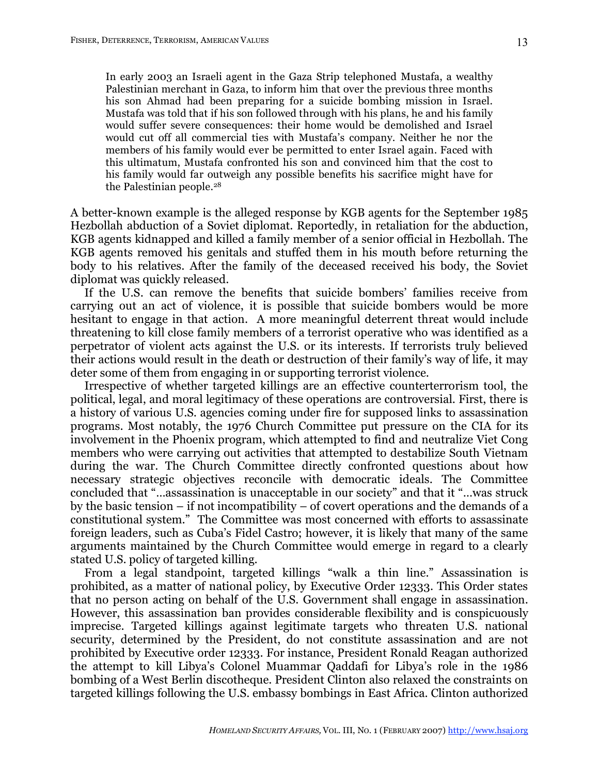In early 2003 an Israeli agent in the Gaza Strip telephoned Mustafa, a wealthy Palestinian merchant in Gaza, to inform him that over the previous three months his son Ahmad had been preparing for a suicide bombing mission in Israel. Mustafa was told that if his son followed through with his plans, he and his family would suffer severe consequences: their home would be demolished and Israel would cut off all commercial ties with Mustafa's company. Neither he nor the members of his family would ever be permitted to enter Israel again. Faced with this ultimatum, Mustafa confronted his son and convinced him that the cost to his family would far outweigh any possible benefits his sacrifice might have for the Palestinian people. 28

A better-known example is the alleged response by KGB agents for the September 1985 Hezbollah abduction of a Soviet diplomat. Reportedly, in retaliation for the abduction, KGB agents kidnapped and killed a family member of a senior official in Hezbollah. The KGB agents removed his genitals and stuffed them in his mouth before returning the body to his relatives. After the family of the deceased received his body, the Soviet diplomat was quickly released.

If the U.S. can remove the benefits that suicide bombers' families receive from carrying out an act of violence, it is possible that suicide bombers would be more hesitant to engage in that action. A more meaningful deterrent threat would include threatening to kill close family members of a terrorist operative who was identified as a perpetrator of violent acts against the U.S. or its interests. If terrorists truly believed their actions would result in the death or destruction of their family's way of life, it may deter some of them from engaging in or supporting terrorist violence.

Irrespective of whether targeted killings are an effective counterterrorism tool, the political, legal, and moral legitimacy of these operations are controversial. First, there is a history of various U.S. agencies coming under fire for supposed links to assassination programs. Most notably, the 1976 Church Committee put pressure on the CIA for its involvement in the Phoenix program, which attempted to find and neutralize Viet Cong members who were carrying out activities that attempted to destabilize South Vietnam during the war. The Church Committee directly confronted questions about how necessary strategic objectives reconcile with democratic ideals. The Committee concluded that "…assassination is unacceptable in our society" and that it "…was struck by the basic tension – if not incompatibility – of covert operations and the demands of a constitutional system." The Committee was most concerned with efforts to assassinate foreign leaders, such as Cuba's Fidel Castro; however, it is likely that many of the same arguments maintained by the Church Committee would emerge in regard to a clearly stated U.S. policy of targeted killing.

From a legal standpoint, targeted killings "walk a thin line." Assassination is prohibited, as a matter of national policy, by Executive Order 12333. This Order states that no person acting on behalf of the U.S. Government shall engage in assassination. However, this assassination ban provides considerable flexibility and is conspicuously imprecise. Targeted killings against legitimate targets who threaten U.S. national security, determined by the President, do not constitute assassination and are not prohibited by Executive order 12333. For instance, President Ronald Reagan authorized the attempt to kill Libya's Colonel Muammar Qaddafi for Libya's role in the 1986 bombing of a West Berlin discotheque. President Clinton also relaxed the constraints on targeted killings following the U.S. embassy bombings in East Africa. Clinton authorized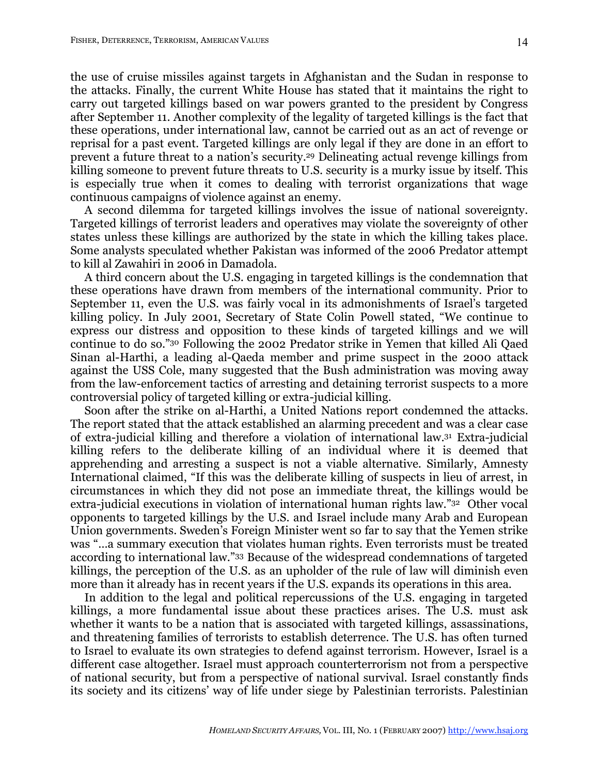the use of cruise missiles against targets in Afghanistan and the Sudan in response to the attacks. Finally, the current White House has stated that it maintains the right to carry out targeted killings based on war powers granted to the president by Congress after September 11. Another complexity of the legality of targeted killings is the fact that these operations, under international law, cannot be carried out as an act of revenge or reprisal for a past event. Targeted killings are only legal if they are done in an effort to prevent a future threat to a nation's security. <sup>29</sup> Delineating actual revenge killings from killing someone to prevent future threats to U.S. security is a murky issue by itself. This is especially true when it comes to dealing with terrorist organizations that wage continuous campaigns of violence against an enemy.

A second dilemma for targeted killings involves the issue of national sovereignty. Targeted killings of terrorist leaders and operatives may violate the sovereignty of other states unless these killings are authorized by the state in which the killing takes place. Some analysts speculated whether Pakistan was informed of the 2006 Predator attempt to kill al Zawahiri in 2006 in Damadola.

A third concern about the U.S. engaging in targeted killings is the condemnation that these operations have drawn from members of the international community. Prior to September 11, even the U.S. was fairly vocal in its admonishments of Israel's targeted killing policy. In July 2001, Secretary of State Colin Powell stated, "We continue to express our distress and opposition to these kinds of targeted killings and we will continue to do so."30 Following the 2002 Predator strike in Yemen that killed Ali Qaed Sinan al-Harthi, a leading al-Qaeda member and prime suspect in the 2000 attack against the USS Cole, many suggested that the Bush administration was moving away from the law-enforcement tactics of arresting and detaining terrorist suspects to a more controversial policy of targeted killing or extra-judicial killing.

Soon after the strike on al-Harthi, a United Nations report condemned the attacks. The report stated that the attack established an alarming precedent and was a clear case of extra-judicial killing and therefore a violation of international law. <sup>31</sup> Extra-judicial killing refers to the deliberate killing of an individual where it is deemed that apprehending and arresting a suspect is not a viable alternative. Similarly, Amnesty International claimed, "If this was the deliberate killing of suspects in lieu of arrest, in circumstances in which they did not pose an immediate threat, the killings would be extra-judicial executions in violation of international human rights law."32 Other vocal opponents to targeted killings by the U.S. and Israel include many Arab and European Union governments. Sweden's Foreign Minister went so far to say that the Yemen strike was "…a summary execution that violates human rights. Even terrorists must be treated according to international law."33 Because of the widespread condemnations of targeted killings, the perception of the U.S. as an upholder of the rule of law will diminish even more than it already has in recent years if the U.S. expands its operations in this area.

In addition to the legal and political repercussions of the U.S. engaging in targeted killings, a more fundamental issue about these practices arises. The U.S. must ask whether it wants to be a nation that is associated with targeted killings, assassinations, and threatening families of terrorists to establish deterrence. The U.S. has often turned to Israel to evaluate its own strategies to defend against terrorism. However, Israel is a different case altogether. Israel must approach counterterrorism not from a perspective of national security, but from a perspective of national survival. Israel constantly finds its society and its citizens' way of life under siege by Palestinian terrorists. Palestinian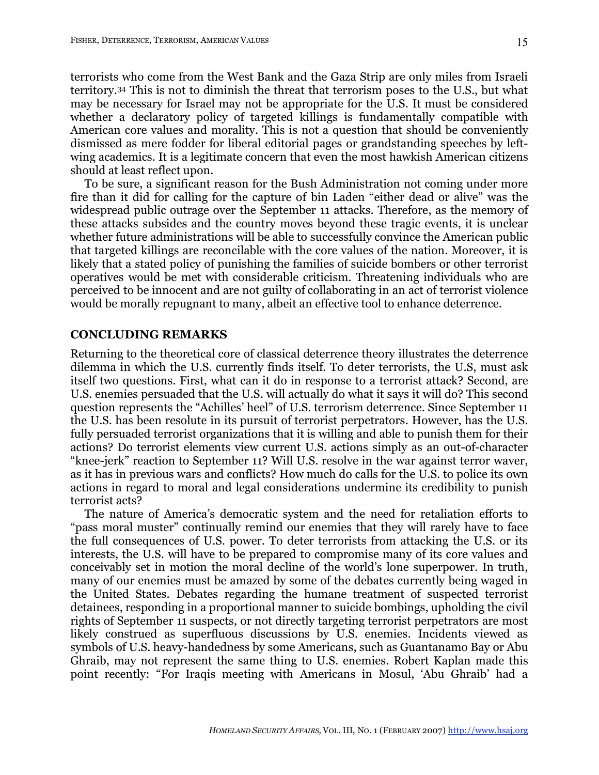terrorists who come from the West Bank and the Gaza Strip are only miles from Israeli territory.34 This is not to diminish the threat that terrorism poses to the U.S., but what may be necessary for Israel may not be appropriate for the U.S. It must be considered whether a declaratory policy of targeted killings is fundamentally compatible with American core values and morality. This is not a question that should be conveniently dismissed as mere fodder for liberal editorial pages or grandstanding speeches by leftwing academics. It is a legitimate concern that even the most hawkish American citizens should at least reflect upon.

To be sure, a significant reason for the Bush Administration not coming under more fire than it did for calling for the capture of bin Laden "either dead or alive" was the widespread public outrage over the September 11 attacks. Therefore, as the memory of these attacks subsides and the country moves beyond these tragic events, it is unclear whether future administrations will be able to successfully convince the American public that targeted killings are reconcilable with the core values of the nation. Moreover, it is likely that a stated policy of punishing the families of suicide bombers or other terrorist operatives would be met with considerable criticism. Threatening individuals who are perceived to be innocent and are not guilty of collaborating in an act of terrorist violence would be morally repugnant to many, albeit an effective tool to enhance deterrence.

## **CONCLUDING REMARKS**

Returning to the theoretical core of classical deterrence theory illustrates the deterrence dilemma in which the U.S. currently finds itself. To deter terrorists, the U.S, must ask itself two questions. First, what can it do in response to a terrorist attack? Second, are U.S. enemies persuaded that the U.S. will actually do what it says it will do? This second question represents the "Achilles' heel" of U.S. terrorism deterrence. Since September 11 the U.S. has been resolute in its pursuit of terrorist perpetrators. However, has the U.S. fully persuaded terrorist organizations that it is willing and able to punish them for their actions? Do terrorist elements view current U.S. actions simply as an out-of-character "knee-jerk" reaction to September 11? Will U.S. resolve in the war against terror waver, as it has in previous wars and conflicts? How much do calls for the U.S. to police its own actions in regard to moral and legal considerations undermine its credibility to punish terrorist acts?

The nature of America's democratic system and the need for retaliation efforts to "pass moral muster" continually remind our enemies that they will rarely have to face the full consequences of U.S. power. To deter terrorists from attacking the U.S. or its interests, the U.S. will have to be prepared to compromise many of its core values and conceivably set in motion the moral decline of the world's lone superpower. In truth, many of our enemies must be amazed by some of the debates currently being waged in the United States. Debates regarding the humane treatment of suspected terrorist detainees, responding in a proportional manner to suicide bombings, upholding the civil rights of September 11 suspects, or not directly targeting terrorist perpetrators are most likely construed as superfluous discussions by U.S. enemies. Incidents viewed as symbols of U.S. heavy-handedness by some Americans, such as Guantanamo Bay or Abu Ghraib, may not represent the same thing to U.S. enemies. Robert Kaplan made this point recently: "For Iraqis meeting with Americans in Mosul, 'Abu Ghraib' had a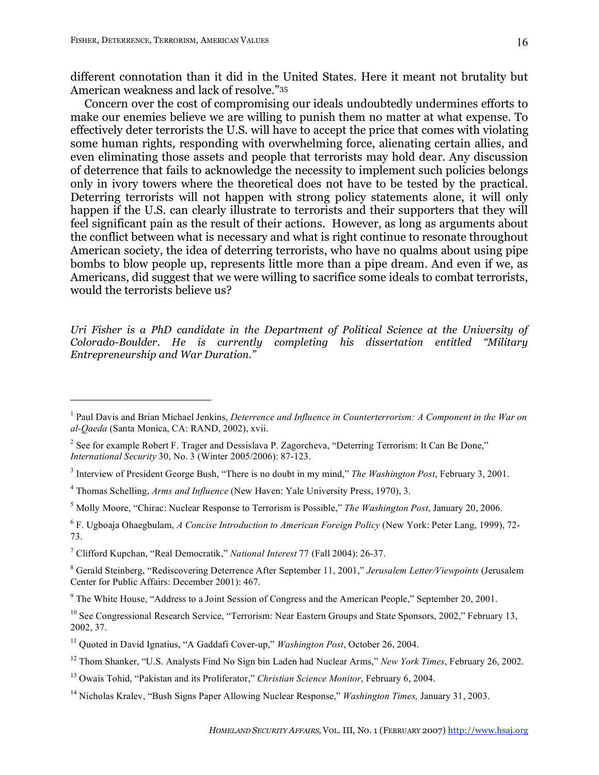$\overline{a}$ 

different connotation than it did in the United States. Here it meant not brutality but American weakness and lack of resolve."35

Concern over the cost of compromising our ideals undoubtedly undermines efforts to make our enemies believe we are willing to punish them no matter at what expense. To effectively deter terrorists the U.S. will have to accept the price that comes with violating some human rights, responding with overwhelming force, alienating certain allies, and even eliminating those assets and people that terrorists may hold dear. Any discussion of deterrence that fails to acknowledge the necessity to implement such policies belongs only in ivory towers where the theoretical does not have to be tested by the practical. Deterring terrorists will not happen with strong policy statements alone, it will only happen if the U.S. can clearly illustrate to terrorists and their supporters that they will feel significant pain as the result of their actions. However, as long as arguments about the conflict between what is necessary and what is right continue to resonate throughout American society, the idea of deterring terrorists, who have no qualms about using pipe bombs to blow people up, represents little more than a pipe dream. And even if we, as Americans, did suggest that we were willing to sacrifice some ideals to combat terrorists, would the terrorists believe us?

*Uri Fisher is a PhD candidate in the Department of Political Science at the University of Colorado-Boulder. He is currently completing his dissertation entitled "Military Entrepreneurship and War Duration."*

<sup>1</sup> Paul Davis and Brian Michael Jenkins, *Deterrence and Influence in Counterterrorism: A Component in the War on al-Qaeda* (Santa Monica, CA: RAND, 2002), xvii.

<sup>&</sup>lt;sup>2</sup> See for example Robert F. Trager and Dessislava P. Zagorcheva, "Deterring Terrorism: It Can Be Done," *International Security* 30, No. 3 (Winter 2005/2006): 87-123.

<sup>3</sup> Interview of President George Bush, "There is no doubt in my mind," *The Washington Post*, February 3, 2001.

<sup>4</sup> Thomas Schelling, *Arms and Influence* (New Haven: Yale University Press, 1970), 3.

<sup>5</sup> Molly Moore, "Chirac: Nuclear Response to Terrorism is Possible," *The Washington Post*, January 20, 2006.

<sup>6</sup> F. Ugboaja Ohaegbulam, *A Concise Introduction to American Foreign Policy* (New York: Peter Lang, 1999), 72- 73.

<sup>7</sup> Clifford Kupchan, "Real Democratik," *National Interest* 77 (Fall 2004): 26-37.

<sup>8</sup> Gerald Steinberg, "Rediscovering Deterrence After September 11, 2001," *Jerusalem Letter/Viewpoints* (Jerusalem Center for Public Affairs: December 2001): 467.

<sup>&</sup>lt;sup>9</sup> The White House, "Address to a Joint Session of Congress and the American People," September 20, 2001.

<sup>&</sup>lt;sup>10</sup> See Congressional Research Service, "Terrorism: Near Eastern Groups and State Sponsors, 2002," February 13, 2002, 37.

<sup>11</sup> Quoted in David Ignatius, "A Gaddafi Cover-up," *Washington Post*, October 26, 2004.

<sup>12</sup> Thom Shanker, "U.S. Analysts Find No Sign bin Laden had Nuclear Arms," *New York Times*, February 26, 2002.

<sup>13</sup> Owais Tohid, "Pakistan and its Proliferator," *Christian Science Monitor*, February 6, 2004.

<sup>14</sup> Nicholas Kralev, "Bush Signs Paper Allowing Nuclear Response," *Washington Times,* January 31, 2003.